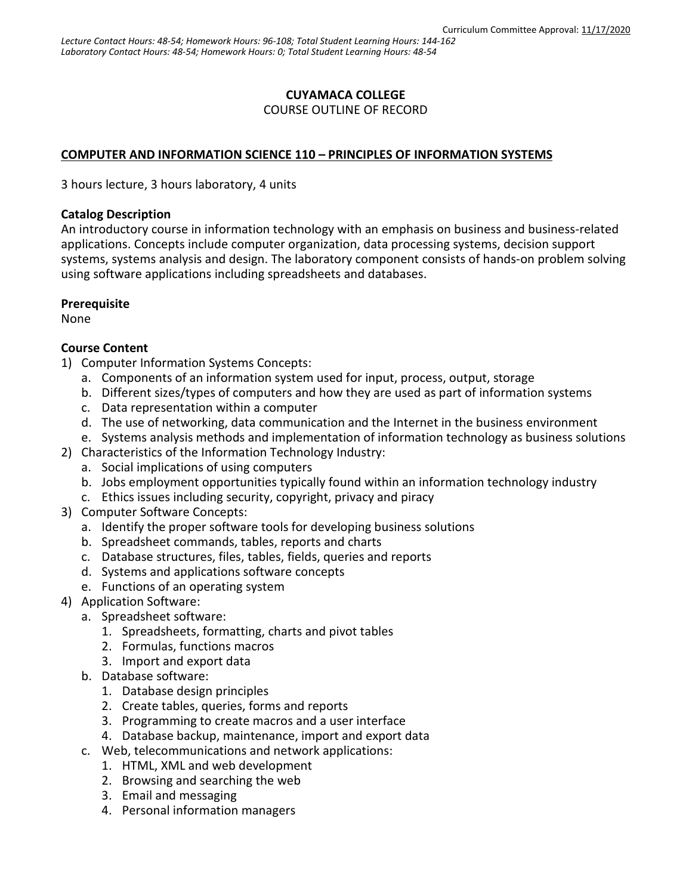## **CUYAMACA COLLEGE**

COURSE OUTLINE OF RECORD

### **COMPUTER AND INFORMATION SCIENCE 110 – PRINCIPLES OF INFORMATION SYSTEMS**

3 hours lecture, 3 hours laboratory, 4 units

#### **Catalog Description**

An introductory course in information technology with an emphasis on business and business-related applications. Concepts include computer organization, data processing systems, decision support systems, systems analysis and design. The laboratory component consists of hands-on problem solving using software applications including spreadsheets and databases.

### **Prerequisite**

None

### **Course Content**

- 1) Computer Information Systems Concepts:
	- a. Components of an information system used for input, process, output, storage
	- b. Different sizes/types of computers and how they are used as part of information systems
	- c. Data representation within a computer
	- d. The use of networking, data communication and the Internet in the business environment
	- e. Systems analysis methods and implementation of information technology as business solutions
- 2) Characteristics of the Information Technology Industry:
	- a. Social implications of using computers
	- b. Jobs employment opportunities typically found within an information technology industry
	- c. Ethics issues including security, copyright, privacy and piracy
- 3) Computer Software Concepts:
	- a. Identify the proper software tools for developing business solutions
	- b. Spreadsheet commands, tables, reports and charts
	- c. Database structures, files, tables, fields, queries and reports
	- d. Systems and applications software concepts
	- e. Functions of an operating system
- 4) Application Software:
	- a. Spreadsheet software:
		- 1. Spreadsheets, formatting, charts and pivot tables
		- 2. Formulas, functions macros
		- 3. Import and export data
	- b. Database software:
		- 1. Database design principles
		- 2. Create tables, queries, forms and reports
		- 3. Programming to create macros and a user interface
		- 4. Database backup, maintenance, import and export data
	- c. Web, telecommunications and network applications:
		- 1. HTML, XML and web development
		- 2. Browsing and searching the web
		- 3. Email and messaging
		- 4. Personal information managers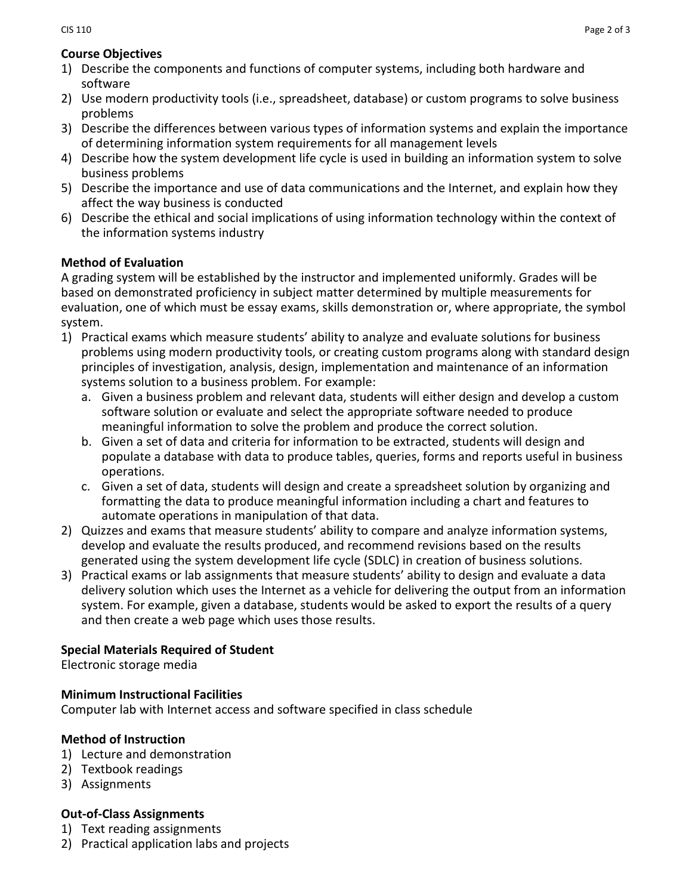## **Course Objectives**

- 1) Describe the components and functions of computer systems, including both hardware and software
- 2) Use modern productivity tools (i.e., spreadsheet, database) or custom programs to solve business problems
- 3) Describe the differences between various types of information systems and explain the importance of determining information system requirements for all management levels
- 4) Describe how the system development life cycle is used in building an information system to solve business problems
- 5) Describe the importance and use of data communications and the Internet, and explain how they affect the way business is conducted
- 6) Describe the ethical and social implications of using information technology within the context of the information systems industry

## **Method of Evaluation**

A grading system will be established by the instructor and implemented uniformly. Grades will be based on demonstrated proficiency in subject matter determined by multiple measurements for evaluation, one of which must be essay exams, skills demonstration or, where appropriate, the symbol system.

- 1) Practical exams which measure students' ability to analyze and evaluate solutions for business problems using modern productivity tools, or creating custom programs along with standard design principles of investigation, analysis, design, implementation and maintenance of an information systems solution to a business problem. For example:
	- a. Given a business problem and relevant data, students will either design and develop a custom software solution or evaluate and select the appropriate software needed to produce meaningful information to solve the problem and produce the correct solution.
	- b. Given a set of data and criteria for information to be extracted, students will design and populate a database with data to produce tables, queries, forms and reports useful in business operations.
	- c. Given a set of data, students will design and create a spreadsheet solution by organizing and formatting the data to produce meaningful information including a chart and features to automate operations in manipulation of that data.
- 2) Quizzes and exams that measure students' ability to compare and analyze information systems, develop and evaluate the results produced, and recommend revisions based on the results generated using the system development life cycle (SDLC) in creation of business solutions.
- 3) Practical exams or lab assignments that measure students' ability to design and evaluate a data delivery solution which uses the Internet as a vehicle for delivering the output from an information system. For example, given a database, students would be asked to export the results of a query and then create a web page which uses those results.

# **Special Materials Required of Student**

Electronic storage media

## **Minimum Instructional Facilities**

Computer lab with Internet access and software specified in class schedule

## **Method of Instruction**

- 1) Lecture and demonstration
- 2) Textbook readings
- 3) Assignments

## **Out-of-Class Assignments**

- 1) Text reading assignments
- 2) Practical application labs and projects